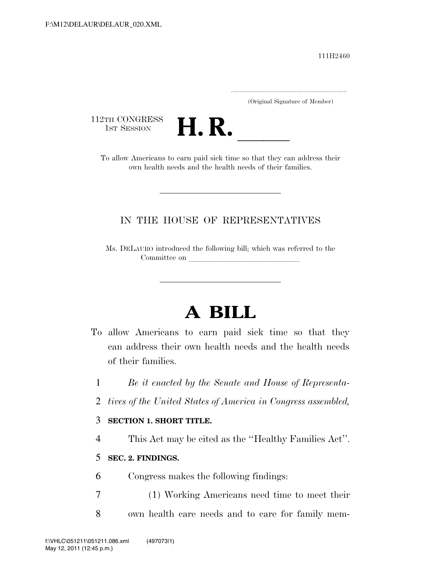111H2460

.....................................................................

(Original Signature of Member)

112TH CONGRESS<br>1st Session



2TH CONGRESS<br>1st SESSION<br>To allow Americans to earn paid sick time so that they can address their own health needs and the health needs of their families.

# IN THE HOUSE OF REPRESENTATIVES

Ms. DELAURO introduced the following bill; which was referred to the Committee on

# **A BILL**

- To allow Americans to earn paid sick time so that they can address their own health needs and the health needs of their families.
	- 1 *Be it enacted by the Senate and House of Representa-*
	- 2 *tives of the United States of America in Congress assembled,*

### 3 **SECTION 1. SHORT TITLE.**

4 This Act may be cited as the ''Healthy Families Act''.

### 5 **SEC. 2. FINDINGS.**

- 6 Congress makes the following findings:
- 7 (1) Working Americans need time to meet their 8 own health care needs and to care for family mem-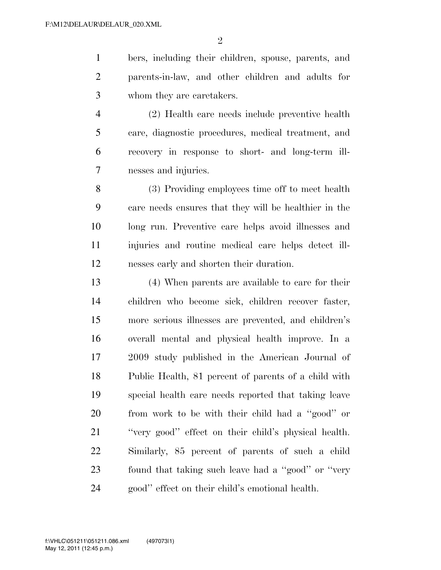bers, including their children, spouse, parents, and parents-in-law, and other children and adults for whom they are caretakers.

 (2) Health care needs include preventive health care, diagnostic procedures, medical treatment, and recovery in response to short- and long-term ill-nesses and injuries.

 (3) Providing employees time off to meet health care needs ensures that they will be healthier in the long run. Preventive care helps avoid illnesses and injuries and routine medical care helps detect ill-nesses early and shorten their duration.

 (4) When parents are available to care for their children who become sick, children recover faster, more serious illnesses are prevented, and children's overall mental and physical health improve. In a 2009 study published in the American Journal of Public Health, 81 percent of parents of a child with special health care needs reported that taking leave from work to be with their child had a ''good'' or ''very good'' effect on their child's physical health. Similarly, 85 percent of parents of such a child found that taking such leave had a ''good'' or ''very good'' effect on their child's emotional health.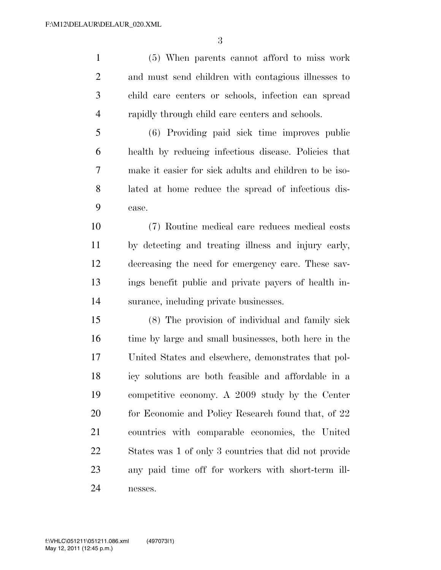(5) When parents cannot afford to miss work and must send children with contagious illnesses to child care centers or schools, infection can spread rapidly through child care centers and schools.

 (6) Providing paid sick time improves public health by reducing infectious disease. Policies that make it easier for sick adults and children to be iso- lated at home reduce the spread of infectious dis-ease.

 (7) Routine medical care reduces medical costs by detecting and treating illness and injury early, decreasing the need for emergency care. These sav- ings benefit public and private payers of health in-surance, including private businesses.

 (8) The provision of individual and family sick time by large and small businesses, both here in the United States and elsewhere, demonstrates that pol- icy solutions are both feasible and affordable in a competitive economy. A 2009 study by the Center 20 for Economic and Policy Research found that, of 22 countries with comparable economies, the United States was 1 of only 3 countries that did not provide any paid time off for workers with short-term ill-nesses.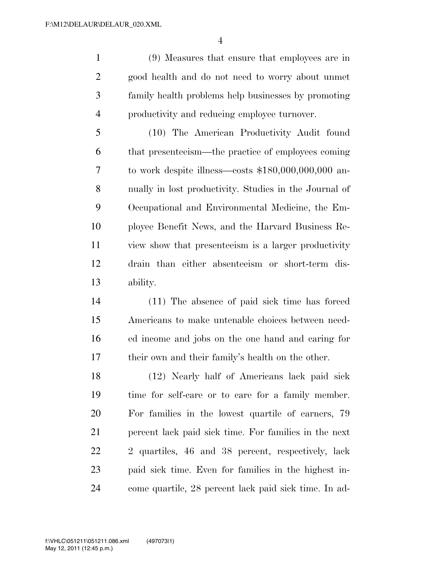(9) Measures that ensure that employees are in good health and do not need to worry about unmet family health problems help businesses by promoting productivity and reducing employee turnover.

 (10) The American Productivity Audit found that presenteeism—the practice of employees coming to work despite illness—costs \$180,000,000,000 an- nually in lost productivity. Studies in the Journal of Occupational and Environmental Medicine, the Em- ployee Benefit News, and the Harvard Business Re- view show that presenteeism is a larger productivity drain than either absenteeism or short-term dis-ability.

 (11) The absence of paid sick time has forced Americans to make untenable choices between need- ed income and jobs on the one hand and caring for their own and their family's health on the other.

 (12) Nearly half of Americans lack paid sick time for self-care or to care for a family member. For families in the lowest quartile of earners, 79 percent lack paid sick time. For families in the next 2 quartiles, 46 and 38 percent, respectively, lack paid sick time. Even for families in the highest in-come quartile, 28 percent lack paid sick time. In ad-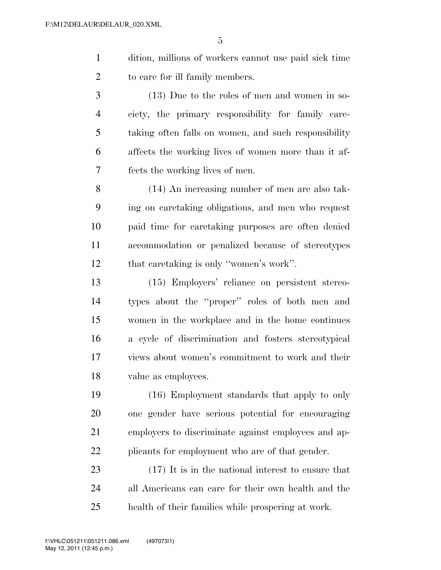- dition, millions of workers cannot use paid sick time to care for ill family members.
- (13) Due to the roles of men and women in so- ciety, the primary responsibility for family care- taking often falls on women, and such responsibility affects the working lives of women more than it af-fects the working lives of men.
- (14) An increasing number of men are also tak- ing on caretaking obligations, and men who request paid time for caretaking purposes are often denied accommodation or penalized because of stereotypes that caretaking is only ''women's work''.
- (15) Employers' reliance on persistent stereo- types about the ''proper'' roles of both men and women in the workplace and in the home continues a cycle of discrimination and fosters stereotypical views about women's commitment to work and their value as employees.
- (16) Employment standards that apply to only one gender have serious potential for encouraging employers to discriminate against employees and ap-22 plicants for employment who are of that gender.
- (17) It is in the national interest to ensure that all Americans can care for their own health and the health of their families while prospering at work.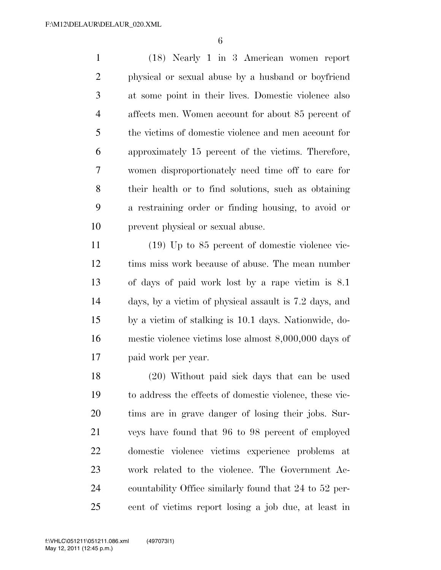(18) Nearly 1 in 3 American women report physical or sexual abuse by a husband or boyfriend at some point in their lives. Domestic violence also affects men. Women account for about 85 percent of the victims of domestic violence and men account for approximately 15 percent of the victims. Therefore, women disproportionately need time off to care for their health or to find solutions, such as obtaining a restraining order or finding housing, to avoid or prevent physical or sexual abuse.

 (19) Up to 85 percent of domestic violence vic- tims miss work because of abuse. The mean number of days of paid work lost by a rape victim is 8.1 days, by a victim of physical assault is 7.2 days, and by a victim of stalking is 10.1 days. Nationwide, do- mestic violence victims lose almost 8,000,000 days of paid work per year.

 (20) Without paid sick days that can be used to address the effects of domestic violence, these vic- tims are in grave danger of losing their jobs. Sur- veys have found that 96 to 98 percent of employed domestic violence victims experience problems at work related to the violence. The Government Ac- countability Office similarly found that 24 to 52 per-cent of victims report losing a job due, at least in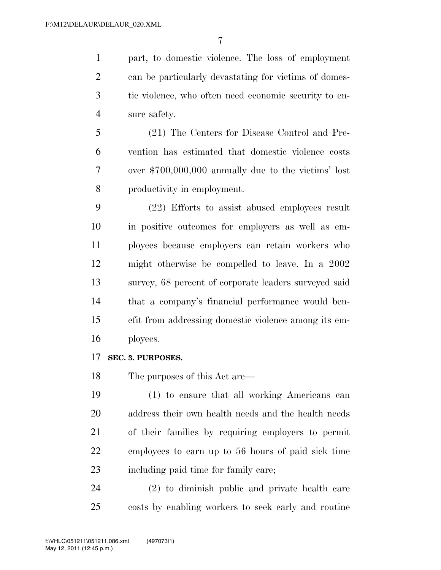part, to domestic violence. The loss of employment can be particularly devastating for victims of domes- tic violence, who often need economic security to en-sure safety.

 (21) The Centers for Disease Control and Pre- vention has estimated that domestic violence costs over \$700,000,000 annually due to the victims' lost productivity in employment.

 (22) Efforts to assist abused employees result in positive outcomes for employers as well as em- ployees because employers can retain workers who might otherwise be compelled to leave. In a 2002 survey, 68 percent of corporate leaders surveyed said that a company's financial performance would ben- efit from addressing domestic violence among its em-ployees.

#### **SEC. 3. PURPOSES.**

The purposes of this Act are—

 (1) to ensure that all working Americans can address their own health needs and the health needs of their families by requiring employers to permit employees to earn up to 56 hours of paid sick time including paid time for family care;

 (2) to diminish public and private health care costs by enabling workers to seek early and routine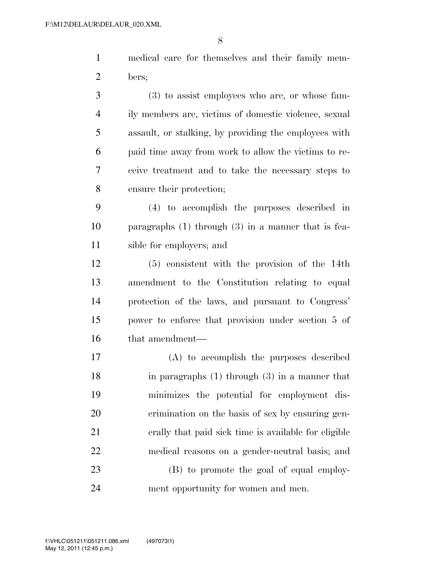medical care for themselves and their family mem-bers;

 (3) to assist employees who are, or whose fam- ily members are, victims of domestic violence, sexual assault, or stalking, by providing the employees with paid time away from work to allow the victims to re- ceive treatment and to take the necessary steps to ensure their protection;

 (4) to accomplish the purposes described in paragraphs (1) through (3) in a manner that is fea-sible for employers; and

 (5) consistent with the provision of the 14th amendment to the Constitution relating to equal protection of the laws, and pursuant to Congress' power to enforce that provision under section 5 of that amendment—

 (A) to accomplish the purposes described in paragraphs (1) through (3) in a manner that minimizes the potential for employment dis- crimination on the basis of sex by ensuring gen- erally that paid sick time is available for eligible medical reasons on a gender-neutral basis; and

 (B) to promote the goal of equal employ-ment opportunity for women and men.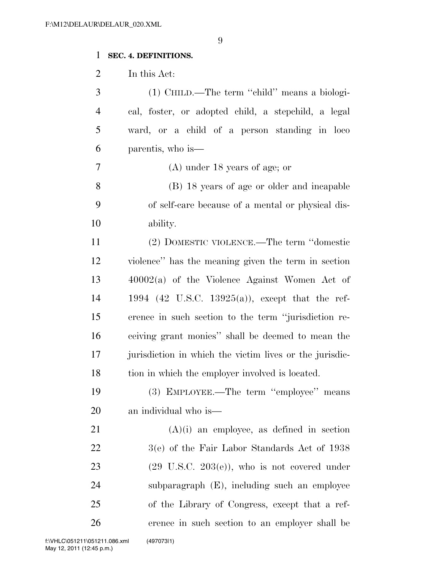# **SEC. 4. DEFINITIONS.**

In this Act:

| 3              | (1) CHILD.—The term "child" means a biologi-             |
|----------------|----------------------------------------------------------|
| $\overline{4}$ | cal, foster, or adopted child, a stepchild, a legal      |
| 5              | ward, or a child of a person standing in loco            |
| 6              | parentis, who is—                                        |
| 7              | $(A)$ under 18 years of age; or                          |
| 8              | (B) 18 years of age or older and incapable               |
| 9              | of self-care because of a mental or physical dis-        |
| 10             | ability.                                                 |
| 11             | (2) DOMESTIC VIOLENCE.—The term "domestic                |
| 12             | violence" has the meaning given the term in section      |
| 13             | $40002(a)$ of the Violence Against Women Act of          |
| 14             | 1994 (42 U.S.C. 13925(a)), except that the ref-          |
| 15             | erence in such section to the term "jurisdiction re-     |
| 16             | ceiving grant monies" shall be deemed to mean the        |
| 17             | jurisdiction in which the victim lives or the jurisdic-  |
| 18             | tion in which the employer involved is located.          |
| 19             | (3) EMPLOYEE.—The term "employee" means                  |
| 20             | an individual who is—                                    |
| 21             | $(A)(i)$ an employee, as defined in section              |
| 22             | 3(e) of the Fair Labor Standards Act of 1938             |
| 23             | $(29 \text{ U.S.C. } 203(e))$ , who is not covered under |
| 24             | subparagraph (E), including such an employee             |
| 25             | of the Library of Congress, except that a ref-           |
| 26             | erence in such section to an employer shall be           |
|                |                                                          |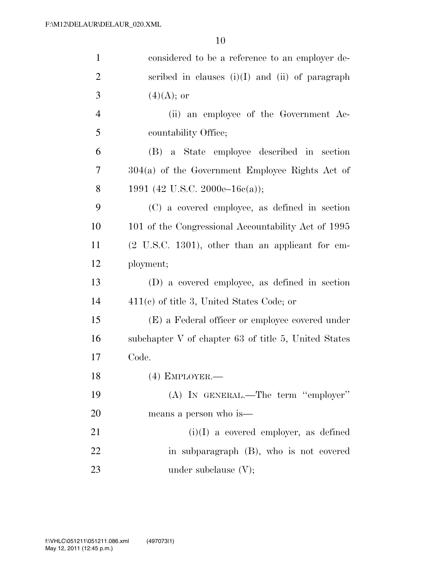| $\mathbf{1}$   | considered to be a reference to an employer de-              |
|----------------|--------------------------------------------------------------|
| $\overline{2}$ | scribed in clauses $(i)(I)$ and $(ii)$ of paragraph          |
| 3              | $(4)(A);$ or                                                 |
| $\overline{4}$ | (ii) an employee of the Government Ac-                       |
| 5              | countability Office;                                         |
| 6              | (B) a State employee described in section                    |
| $\overline{7}$ | $304(a)$ of the Government Employee Rights Act of            |
| 8              | 1991 (42 U.S.C. 2000e–16c(a));                               |
| 9              | (C) a covered employee, as defined in section                |
| 10             | 101 of the Congressional Accountability Act of 1995          |
| 11             | $(2 \text{ U.S.C. } 1301)$ , other than an applicant for em- |
| 12             | ployment;                                                    |
| 13             | (D) a covered employee, as defined in section                |
| 14             | $411(e)$ of title 3, United States Code; or                  |
| 15             | (E) a Federal officer or employee covered under              |
| 16             | subchapter V of chapter 63 of title 5, United States         |
| 17             | Code.                                                        |
| 18             | $(4)$ EMPLOYER.—                                             |
| 19             | (A) IN GENERAL.—The term "employer"                          |
| <b>20</b>      | means a person who is—                                       |
| 21             | $(i)(I)$ a covered employer, as defined                      |
| 22             | in subparagraph (B), who is not covered                      |
| 23             | under subclause $(V)$ ;                                      |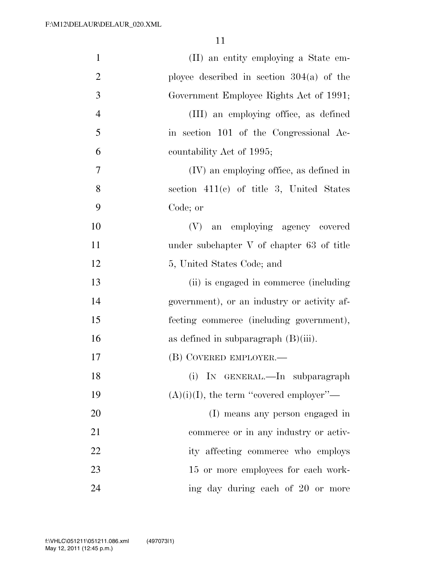| $\mathbf{1}$   | (II) an entity employing a State em-        |
|----------------|---------------------------------------------|
| $\overline{2}$ | ployee described in section $304(a)$ of the |
| 3              | Government Employee Rights Act of 1991;     |
| $\overline{4}$ | (III) an employing office, as defined       |
| 5              | in section 101 of the Congressional Ac-     |
| 6              | countability Act of 1995;                   |
| 7              | (IV) an employing office, as defined in     |
| 8              | section $411(c)$ of title 3, United States  |
| 9              | Code; or                                    |
| 10             | (V) an employing agency covered             |
| 11             | under subchapter V of chapter 63 of title   |
| 12             | 5, United States Code; and                  |
| 13             | (ii) is engaged in commerce (including      |
| 14             | government), or an industry or activity af- |
| 15             | fecting commerce (including government),    |
| 16             | as defined in subparagraph $(B)(iii)$ .     |
| 17             | (B) COVERED EMPLOYER.—                      |
| 18             | (i) IN GENERAL.—In subparagraph             |
| 19             | $(A)(i)(I)$ , the term "covered employer"—  |
| 20             | (I) means any person engaged in             |
| 21             | commerce or in any industry or activ-       |
| 22             | ity affecting commerce who employs          |
| 23             | 15 or more employees for each work-         |
| 24             | ing day during each of 20 or more           |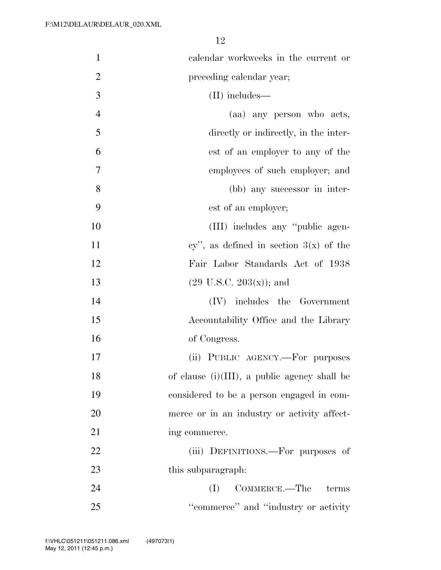| $\mathbf{1}$   | calendar workweeks in the current or            |
|----------------|-------------------------------------------------|
| $\overline{2}$ | preceding calendar year;                        |
| 3              | $(II)$ includes—                                |
| $\overline{4}$ | (aa) any person who acts,                       |
| 5              | directly or indirectly, in the inter-           |
| 6              | est of an employer to any of the                |
| 7              | employees of such employer; and                 |
| 8              | (bb) any successor in inter-                    |
| 9              | est of an employer;                             |
| 10             | (III) includes any "public agen-                |
| 11             | cy", as defined in section $3(x)$ of the        |
| 12             | Fair Labor Standards Act of 1938                |
| 13             | $(29 \text{ U.S.C. } 203(\text{x}))$ ; and      |
| 14             | $(IV)$ includes the Government                  |
| 15             | Accountability Office and the Library           |
| 16             | of Congress.                                    |
| 17             | (ii) PUBLIC AGENCY.—For purposes                |
| 18             | of clause $(i)(III)$ , a public agency shall be |
| 19             | considered to be a person engaged in com-       |
| 20             | merce or in an industry or activity affect-     |
| 21             | ing commerce.                                   |
| 22             | (iii) DEFINITIONS.—For purposes of              |
| 23             | this subparagraph.                              |
| 24             | COMMERCE.—The terms<br>(I)                      |
| 25             | "commerce" and "industry or activity"           |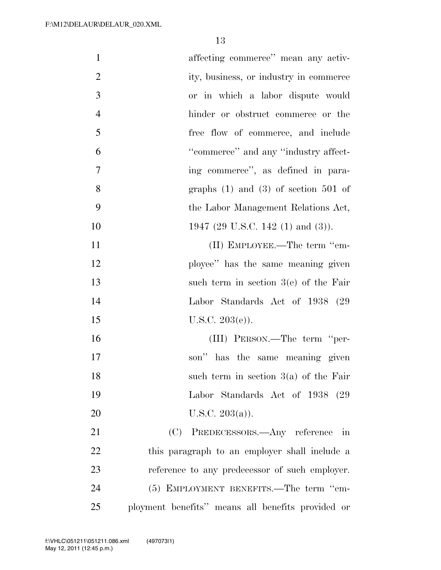| $\mathbf{1}$   | affecting commerce" mean any activ-               |
|----------------|---------------------------------------------------|
| $\overline{2}$ | ity, business, or industry in commerce            |
| 3              | or in which a labor dispute would                 |
| $\overline{4}$ | hinder or obstruct commerce or the                |
| 5              | free flow of commerce, and include                |
| 6              | "commerce" and any "industry affect-              |
| 7              | ing commerce", as defined in para-                |
| 8              | graphs $(1)$ and $(3)$ of section 501 of          |
| 9              | the Labor Management Relations Act,               |
| 10             | 1947 (29 U.S.C. 142 (1) and (3)).                 |
| 11             | (II) EMPLOYEE.—The term "em-                      |
| 12             | ployee" has the same meaning given                |
| 13             | such term in section $3(e)$ of the Fair           |
| 14             | Labor Standards Act of 1938 (29)                  |
| 15             | U.S.C. $203(e)$ ).                                |
| 16             | (III) PERSON.—The term "per-                      |
| 17             | son" has the same meaning given                   |
| 18             | such term in section $3(a)$ of the Fair           |
| 19             | Labor Standards Act of 1938 (29                   |
| 20             | U.S.C. $203(a)$ ).                                |
| 21             | (C) PREDECESSORS.—Any reference in                |
| 22             | this paragraph to an employer shall include a     |
| 23             | reference to any predecessor of such employer.    |
| 24             | (5) EMPLOYMENT BENEFITS.—The term "em-            |
| 25             | ployment benefits" means all benefits provided or |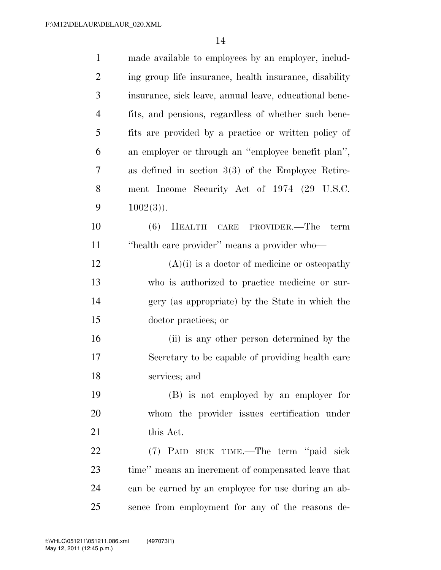| $\mathbf{1}$   | made available to employees by an employer, includ-    |
|----------------|--------------------------------------------------------|
| $\overline{2}$ | ing group life insurance, health insurance, disability |
| 3              | insurance, sick leave, annual leave, educational bene- |
| $\overline{4}$ | fits, and pensions, regardless of whether such bene-   |
| 5              | fits are provided by a practice or written policy of   |
| 6              | an employer or through an "employee benefit plan",     |
| 7              | as defined in section $3(3)$ of the Employee Retire-   |
| 8              | ment Income Security Act of 1974 (29 U.S.C.            |
| 9              | $1002(3)$ ).                                           |
| 10             | (6)<br>HEALTH CARE PROVIDER.—The term                  |
| 11             | "health care provider" means a provider who-           |
| 12             | $(A)(i)$ is a doctor of medicine or osteopathy         |
| 13             | who is authorized to practice medicine or sur-         |
| 14             | gery (as appropriate) by the State in which the        |
| 15             | doctor practices; or                                   |
| 16             | (ii) is any other person determined by the             |
| 17             | Secretary to be capable of providing health care       |
| 18             | services; and                                          |
| 19             | (B) is not employed by an employer for                 |
| 20             | whom the provider issues certification under           |
| 21             | this Act.                                              |
| 22             | (7) PAID SICK TIME.—The term "paid sick                |
| 23             | time" means an increment of compensated leave that     |
| 24             | can be earned by an employee for use during an ab-     |
| 25             | sence from employment for any of the reasons de-       |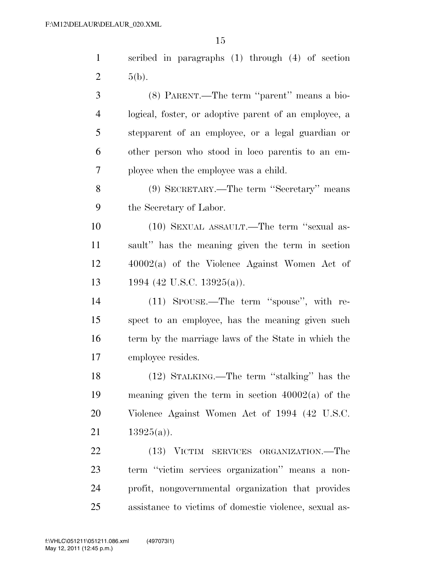| $\mathbf{1}$   | scribed in paragraphs (1) through (4) of section       |
|----------------|--------------------------------------------------------|
| $\overline{2}$ | $5(b)$ .                                               |
| 3              | (8) PARENT.—The term "parent" means a bio-             |
| $\overline{4}$ | logical, foster, or adoptive parent of an employee, a  |
| 5              | stepparent of an employee, or a legal guardian or      |
| 6              | other person who stood in loco parentis to an em-      |
| $\overline{7}$ | ployee when the employee was a child.                  |
| 8              | (9) SECRETARY.—The term "Secretary" means              |
| 9              | the Secretary of Labor.                                |
| 10             | (10) SEXUAL ASSAULT.—The term "sexual as-              |
| 11             | sault" has the meaning given the term in section       |
| 12             | $40002(a)$ of the Violence Against Women Act of        |
| 13             | 1994 (42 U.S.C. 13925(a)).                             |
| 14             | (11) SPOUSE.—The term "spouse", with re-               |
| 15             | spect to an employee, has the meaning given such       |
| 16             | term by the marriage laws of the State in which the    |
| 17             | employee resides.                                      |
| 18             | $(12)$ STALKING.—The term "stalking" has the           |
| 19             | meaning given the term in section $40002(a)$ of the    |
| 20             | Violence Against Women Act of 1994 (42 U.S.C.          |
| 21             | $13925(a)$ .                                           |
| 22             | (13) VICTIM SERVICES ORGANIZATION.—The                 |
| 23             | term "victim services organization" means a non-       |
| 24             | profit, nongovernmental organization that provides     |
| 25             | assistance to victims of domestic violence, sexual as- |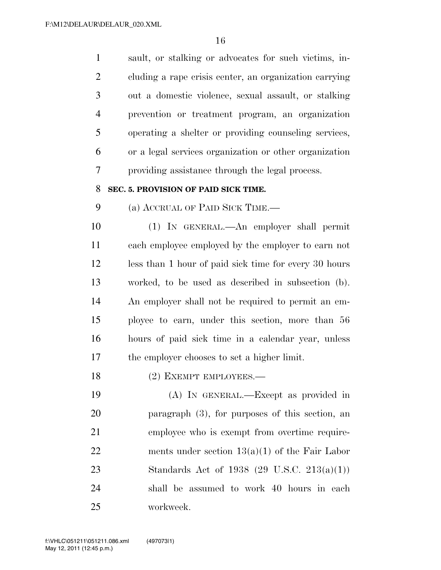sault, or stalking or advocates for such victims, in- cluding a rape crisis center, an organization carrying out a domestic violence, sexual assault, or stalking prevention or treatment program, an organization operating a shelter or providing counseling services, or a legal services organization or other organization providing assistance through the legal process.

#### **SEC. 5. PROVISION OF PAID SICK TIME.**

(a) ACCRUAL OF PAID SICK TIME.—

 (1) IN GENERAL.—An employer shall permit each employee employed by the employer to earn not less than 1 hour of paid sick time for every 30 hours worked, to be used as described in subsection (b). An employer shall not be required to permit an em- ployee to earn, under this section, more than 56 hours of paid sick time in a calendar year, unless the employer chooses to set a higher limit.

18 (2) EXEMPT EMPLOYEES.—

 (A) IN GENERAL.—Except as provided in paragraph (3), for purposes of this section, an employee who is exempt from overtime require-22 ments under section  $13(a)(1)$  of the Fair Labor Standards Act of 1938 (29 U.S.C. 213(a)(1)) shall be assumed to work 40 hours in each workweek.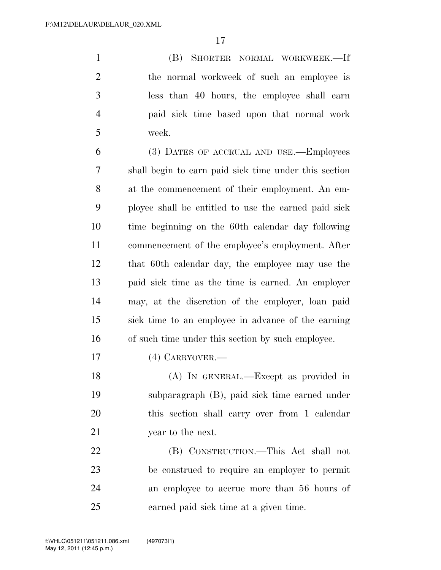(B) SHORTER NORMAL WORKWEEK.—If 2 the normal workweek of such an employee is less than 40 hours, the employee shall earn paid sick time based upon that normal work week.

 (3) DATES OF ACCRUAL AND USE.—Employees shall begin to earn paid sick time under this section at the commencement of their employment. An em- ployee shall be entitled to use the earned paid sick time beginning on the 60th calendar day following 11 commencement of the employee's employment. After that 60th calendar day, the employee may use the paid sick time as the time is earned. An employer may, at the discretion of the employer, loan paid sick time to an employee in advance of the earning of such time under this section by such employee.

(4) CARRYOVER.—

 (A) IN GENERAL.—Except as provided in subparagraph (B), paid sick time earned under this section shall carry over from 1 calendar 21 year to the next.

 (B) CONSTRUCTION.—This Act shall not be construed to require an employer to permit an employee to accrue more than 56 hours of earned paid sick time at a given time.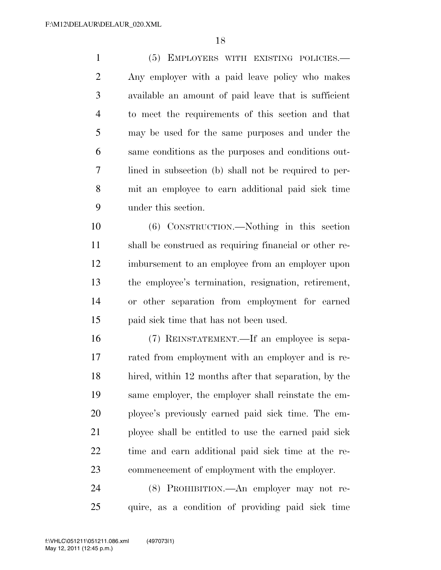(5) EMPLOYERS WITH EXISTING POLICIES.— Any employer with a paid leave policy who makes available an amount of paid leave that is sufficient to meet the requirements of this section and that may be used for the same purposes and under the same conditions as the purposes and conditions out- lined in subsection (b) shall not be required to per- mit an employee to earn additional paid sick time under this section.

 (6) CONSTRUCTION.—Nothing in this section shall be construed as requiring financial or other re- imbursement to an employee from an employer upon the employee's termination, resignation, retirement, or other separation from employment for earned paid sick time that has not been used.

 (7) REINSTATEMENT.—If an employee is sepa- rated from employment with an employer and is re- hired, within 12 months after that separation, by the same employer, the employer shall reinstate the em- ployee's previously earned paid sick time. The em- ployee shall be entitled to use the earned paid sick time and earn additional paid sick time at the re-commencement of employment with the employer.

 (8) PROHIBITION.—An employer may not re-quire, as a condition of providing paid sick time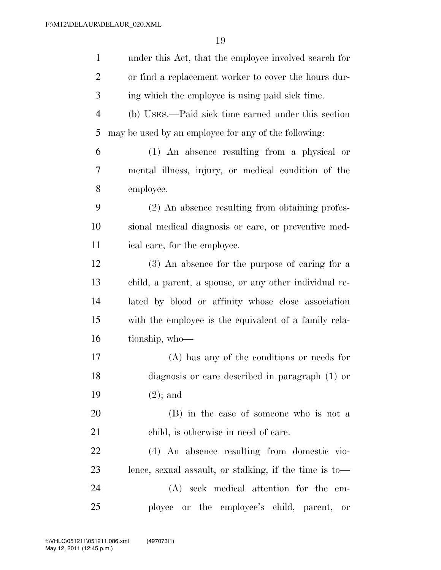| $\mathbf{1}$   | under this Act, that the employee involved search for  |
|----------------|--------------------------------------------------------|
| $\overline{2}$ | or find a replacement worker to cover the hours dur-   |
| 3              | ing which the employee is using paid sick time.        |
| $\overline{4}$ | (b) USES.—Paid sick time earned under this section     |
| 5              | may be used by an employee for any of the following:   |
| 6              | (1) An absence resulting from a physical or            |
| 7              | mental illness, injury, or medical condition of the    |
| 8              | employee.                                              |
| 9              | (2) An absence resulting from obtaining profes-        |
| 10             | sional medical diagnosis or care, or preventive med-   |
| 11             | ical care, for the employee.                           |
| 12             | (3) An absence for the purpose of caring for a         |
| 13             | child, a parent, a spouse, or any other individual re- |
| 14             | lated by blood or affinity whose close association     |
| 15             | with the employee is the equivalent of a family rela-  |
| 16             | tionship, who-                                         |
| 17             | (A) has any of the conditions or needs for             |
| 18             | diagnosis or care described in paragraph $(1)$ or      |
| 19             | $(2)$ ; and                                            |
| 20             | (B) in the case of someone who is not a                |
| 21             | child, is otherwise in need of care.                   |
| 22             | (4) An absence resulting from domestic vio-            |
| 23             | lence, sexual assault, or stalking, if the time is to- |
| 24             | (A) seek medical attention for the em-                 |
| 25             | ployee or the employee's child, parent,<br>or          |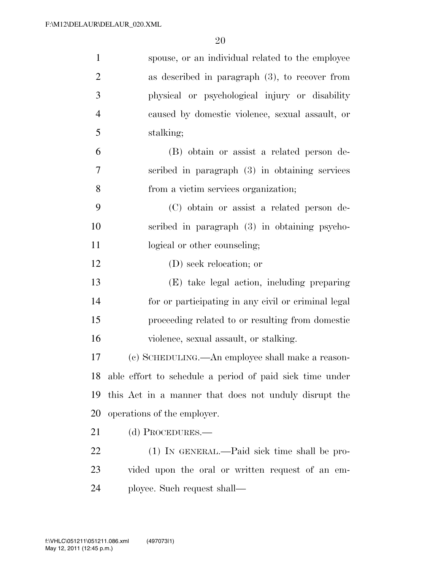| $\mathbf{1}$   | spouse, or an individual related to the employee            |
|----------------|-------------------------------------------------------------|
| $\overline{2}$ | as described in paragraph $(3)$ , to recover from           |
| 3              | physical or psychological injury or disability              |
| $\overline{4}$ | caused by domestic violence, sexual assault, or             |
| 5              | stalking;                                                   |
| 6              | (B) obtain or assist a related person de-                   |
| $\overline{7}$ | scribed in paragraph $(3)$ in obtaining services            |
| 8              | from a victim services organization;                        |
| 9              | (C) obtain or assist a related person de-                   |
| 10             | scribed in paragraph (3) in obtaining psycho-               |
| 11             | logical or other counseling;                                |
| 12             | (D) seek relocation; or                                     |
| 13             | (E) take legal action, including preparing                  |
| 14             | for or participating in any civil or criminal legal         |
| 15             | proceeding related to or resulting from domestic            |
| 16             | violence, sexual assault, or stalking.                      |
| 17             | (c) SCHEDULING.—An employee shall make a reason-            |
|                | 18 able effort to schedule a period of paid sick time under |
| 19             | this Act in a manner that does not unduly disrupt the       |
| 20             | operations of the employer.                                 |
| 21             | (d) PROCEDURES.—                                            |
| 22             | (1) IN GENERAL.—Paid sick time shall be pro-                |
| 23             | vided upon the oral or written request of an em-            |
| 24             | ployee. Such request shall—                                 |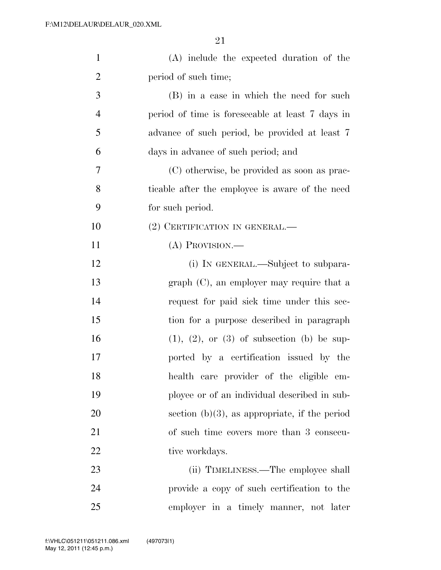| $\mathbf{1}$   | (A) include the expected duration of the         |
|----------------|--------------------------------------------------|
| $\overline{2}$ | period of such time;                             |
| 3              | (B) in a case in which the need for such         |
| $\overline{4}$ | period of time is foreseeable at least 7 days in |
| 5              | advance of such period, be provided at least 7   |
| 6              | days in advance of such period; and              |
| 7              | (C) otherwise, be provided as soon as prac-      |
| 8              | ticable after the employee is aware of the need  |
| 9              | for such period.                                 |
| 10             | (2) CERTIFICATION IN GENERAL.—                   |
| 11             | $(A)$ Provision.—                                |
| 12             | (i) IN GENERAL.—Subject to subpara-              |
| 13             | $graph (C)$ , an employer may require that a     |
| 14             | request for paid sick time under this sec-       |
| 15             | tion for a purpose described in paragraph        |
| 16             | $(1), (2),$ or $(3)$ of subsection $(b)$ be sup- |
| 17             | ported by a certification issued by the          |
| 18             | health care provider of the eligible em-         |
| 19             | ployee or of an individual described in sub-     |
| 20             | section $(b)(3)$ , as appropriate, if the period |
| 21             | of such time covers more than 3 consecu-         |
| 22             | tive workdays.                                   |
| 23             | (ii) TIMELINESS.—The employee shall              |
| 24             | provide a copy of such certification to the      |
| 25             | employer in a timely manner, not later           |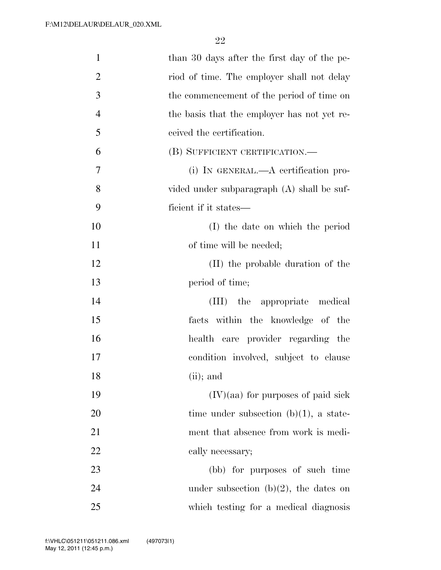| than 30 days after the first day of the pe- |
|---------------------------------------------|
| riod of time. The employer shall not delay  |
| the commencement of the period of time on   |
| the basis that the employer has not yet re- |
| ceived the certification.                   |
| (B) SUFFICIENT CERTIFICATION.—              |
| (i) IN GENERAL.—A certification pro-        |
| vided under subparagraph (A) shall be suf-  |
| ficient if it states—                       |
| (I) the date on which the period            |
| of time will be needed;                     |
|                                             |
| (II) the probable duration of the           |
| period of time;                             |
| (III) the appropriate medical               |
| facts within the knowledge of the           |
| health care provider regarding the          |
| condition involved, subject to clause       |
| $(ii)$ ; and                                |
| $(IV)(aa)$ for purposes of paid sick        |
| time under subsection $(b)(1)$ , a state-   |
| ment that absence from work is medi-        |
| cally necessary;                            |
| (bb) for purposes of such time              |
| under subsection $(b)(2)$ , the dates on    |
| which testing for a medical diagnosis       |
|                                             |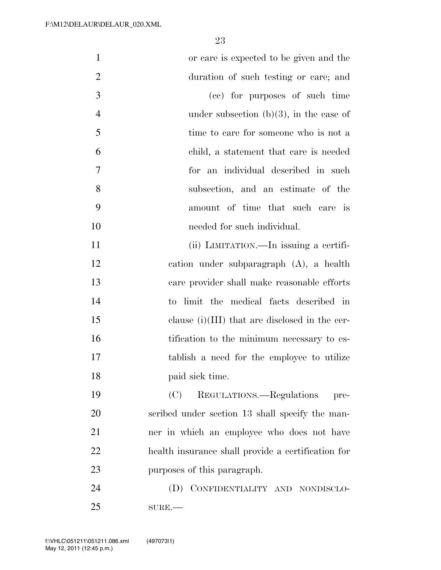| $\mathbf{1}$   | or care is expected to be given and the            |
|----------------|----------------------------------------------------|
| $\overline{2}$ | duration of such testing or care; and              |
| 3              | (cc) for purposes of such time                     |
| $\overline{4}$ | under subsection $(b)(3)$ , in the case of         |
| 5              | time to care for someone who is not a              |
| 6              | child, a statement that care is needed             |
| 7              | for an individual described in such                |
| 8              | subsection, and an estimate of the                 |
| 9              | amount of time that such care is                   |
| 10             | needed for such individual.                        |
| 11             | (ii) LIMITATION.—In issuing a certifi-             |
| 12             | cation under subparagraph $(A)$ , a health         |
| 13             | care provider shall make reasonable efforts        |
| 14             | to limit the medical facts described in            |
| 15             | clause $(i)(III)$ that are disclosed in the cer-   |
| 16             | tification to the minimum necessary to es-         |
| 17             | tablish a need for the employee to utilize         |
| 18             | paid sick time.                                    |
| 19             | (C)<br>REGULATIONS.—Regulations<br>pre-            |
| 20             | scribed under section 13 shall specify the man-    |
| 21             | ner in which an employee who does not have         |
| 22             | health insurance shall provide a certification for |
| 23             | purposes of this paragraph.                        |
| 24             | (D) CONFIDENTIALITY AND NONDISCLO-                 |
| 25             | $SUBE$ .                                           |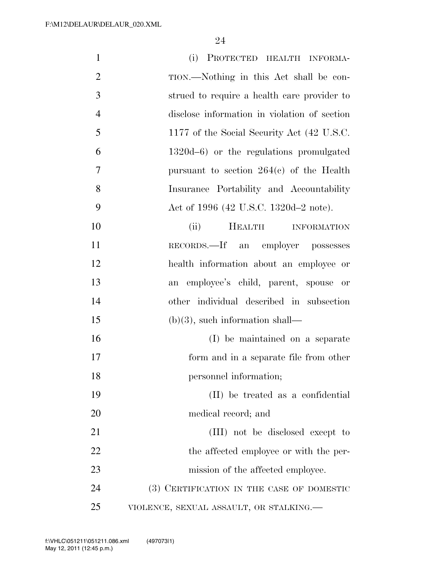| $\mathbf{1}$   | (i) PROTECTED HEALTH INFORMA-                |
|----------------|----------------------------------------------|
| $\overline{2}$ | TION.—Nothing in this Act shall be con-      |
| 3              | strued to require a health care provider to  |
| $\overline{4}$ | disclose information in violation of section |
| 5              | 1177 of the Social Security Act (42 U.S.C.   |
| 6              | 1320d-6) or the regulations promulgated      |
| 7              | pursuant to section $264(c)$ of the Health   |
| 8              | Insurance Portability and Accountability     |
| 9              | Act of 1996 (42 U.S.C. 1320d–2 note).        |
| 10             | (ii)<br><b>HEALTH</b><br><b>INFORMATION</b>  |
| 11             | RECORDS.—If an employer possesses            |
| 12             | health information about an employee or      |
| 13             | an employee's child, parent, spouse or       |
| 14             | other individual described in subsection     |
| 15             | $(b)(3)$ , such information shall—           |
| 16             | (I) be maintained on a separate              |
| 17             | form and in a separate file from other       |
| 18             | personnel information;                       |
| 19             | (II) be treated as a confidential            |
| 20             | medical record; and                          |
| 21             | (III) not be disclosed except to             |
| 22             | the affected employee or with the per-       |
| 23             | mission of the affected employee.            |
| 24             | (3) CERTIFICATION IN THE CASE OF DOMESTIC    |
| 25             | VIOLENCE, SEXUAL ASSAULT, OR STALKING.       |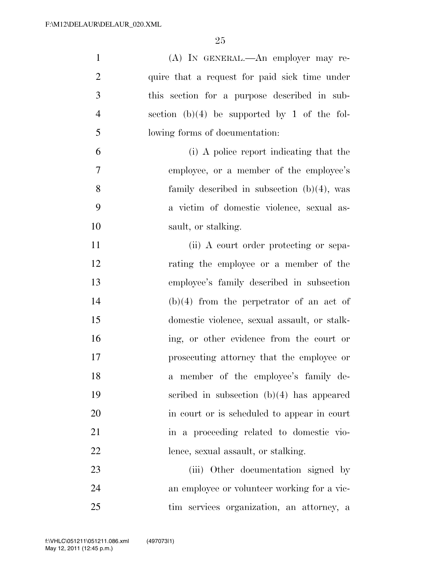| $\mathbf{1}$   | (A) IN GENERAL.—An employer may re-            |
|----------------|------------------------------------------------|
| $\overline{2}$ | quire that a request for paid sick time under  |
| 3              | this section for a purpose described in sub-   |
| $\overline{4}$ | section $(b)(4)$ be supported by 1 of the fol- |
| 5              | lowing forms of documentation:                 |
| 6              | (i) A police report indicating that the        |
| $\tau$         | employee, or a member of the employee's        |
| 8              | family described in subsection $(b)(4)$ , was  |
| 9              | a victim of domestic violence, sexual as-      |
| 10             | sault, or stalking.                            |
| 11             | (ii) A court order protecting or sepa-         |
| 12             | rating the employee or a member of the         |
| 13             | employee's family described in subsection      |
| 14             | $(b)(4)$ from the perpetrator of an act of     |
| 15             | domestic violence, sexual assault, or stalk-   |
| 16             | ing, or other evidence from the court or       |
| 17             | prosecuting attorney that the employee or      |
| 18             | a member of the employee's family de-          |
| 19             | scribed in subsection $(b)(4)$ has appeared    |
| 20             | in court or is scheduled to appear in court    |
| 21             | in a proceeding related to domestic vio-       |
| 22             | lence, sexual assault, or stalking.            |
| 23             | (iii) Other documentation signed by            |
| 24             | an employee or volunteer working for a vic-    |
| 25             | tim services organization, an attorney, a      |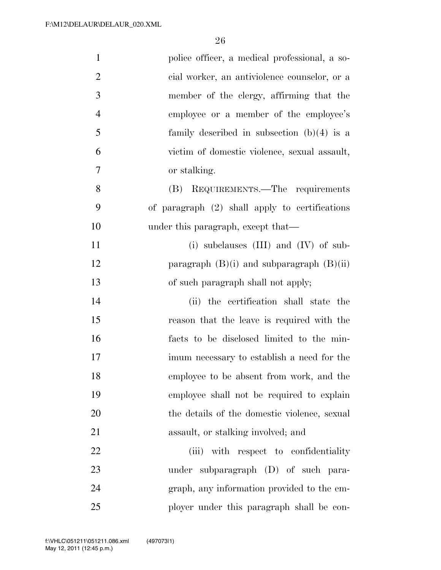| $\mathbf{1}$   | police officer, a medical professional, a so-  |
|----------------|------------------------------------------------|
| $\overline{2}$ | cial worker, an antiviolence counselor, or a   |
| 3              | member of the clergy, affirming that the       |
| $\overline{4}$ | employee or a member of the employee's         |
| 5              | family described in subsection $(b)(4)$ is a   |
| 6              | victim of domestic violence, sexual assault,   |
| $\tau$         | or stalking.                                   |
| 8              | REQUIREMENTS.—The requirements<br>(B)          |
| 9              | of paragraph (2) shall apply to certifications |
| 10             | under this paragraph, except that—             |
| 11             | (i) subclauses $(III)$ and $(IV)$ of sub-      |
| 12             | paragraph $(B)(i)$ and subparagraph $(B)(ii)$  |
| 13             | of such paragraph shall not apply;             |
| 14             | (ii) the certification shall state the         |
| 15             | reason that the leave is required with the     |
| 16             | facts to be disclosed limited to the min-      |
| 17             | imum necessary to establish a need for the     |
| 18             | employee to be absent from work, and the       |
| 19             | employee shall not be required to explain      |
| 20             | the details of the domestic violence, sexual   |
| 21             | assault, or stalking involved; and             |
| 22             | (iii) with respect to confidentiality          |
| 23             | under subparagraph (D) of such para-           |
| 24             | graph, any information provided to the em-     |
| 25             | ployer under this paragraph shall be con-      |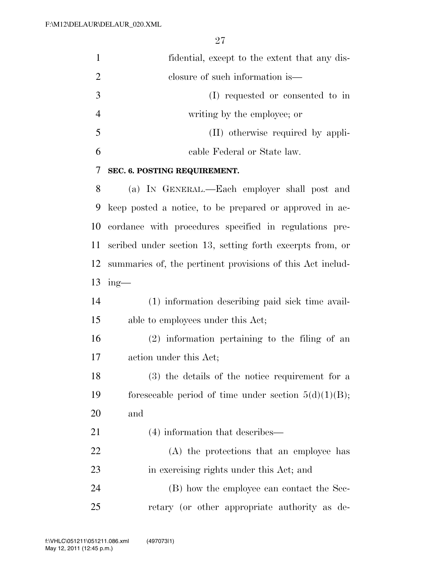| $\mathbf{1}$   | fidential, except to the extent that any dis-              |
|----------------|------------------------------------------------------------|
| $\overline{2}$ | closure of such information is—                            |
| 3              | (I) requested or consented to in                           |
| 4              | writing by the employee; or                                |
| 5              | (II) otherwise required by appli-                          |
| 6              | cable Federal or State law.                                |
| 7              | SEC. 6. POSTING REQUIREMENT.                               |
| 8              | (a) IN GENERAL.—Each employer shall post and               |
| 9              | keep posted a notice, to be prepared or approved in ac-    |
| 10             | cordance with procedures specified in regulations pre-     |
| 11             | scribed under section 13, setting forth excerpts from, or  |
| 12             | summaries of, the pertinent provisions of this Act includ- |
| 13             | $ing$ —                                                    |
| 14             | (1) information describing paid sick time avail-           |
| 15             | able to employees under this Act;                          |
| 16             | $(2)$ information pertaining to the filing of an           |
| 17             | action under this Act;                                     |
| 18             | (3) the details of the notice requirement for a            |
| 19             | foreseeable period of time under section $5(d)(1)(B)$ ;    |
| 20             | and                                                        |
| 21             | (4) information that describes—                            |
| 22             | (A) the protections that an employee has                   |
| 23             | in exercising rights under this Act; and                   |
| 24             | (B) how the employee can contact the Sec-                  |
| 25             | retary (or other appropriate authority as de-              |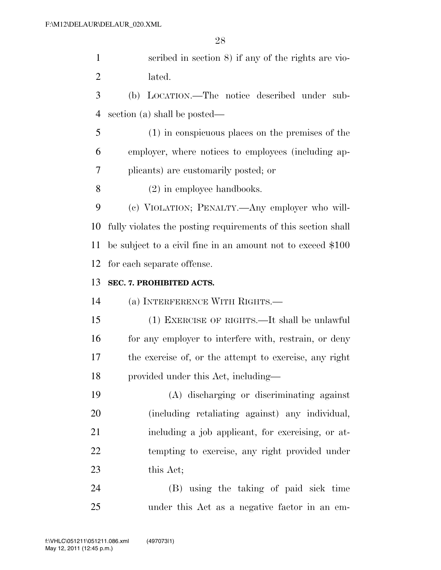scribed in section 8) if any of the rights are vio-lated.

 (b) LOCATION.—The notice described under sub-section (a) shall be posted—

 (1) in conspicuous places on the premises of the employer, where notices to employees (including ap-plicants) are customarily posted; or

(2) in employee handbooks.

 (c) VIOLATION; PENALTY.—Any employer who will- fully violates the posting requirements of this section shall be subject to a civil fine in an amount not to exceed \$100 for each separate offense.

#### **SEC. 7. PROHIBITED ACTS.**

(a) INTERFERENCE WITH RIGHTS.—

 (1) EXERCISE OF RIGHTS.—It shall be unlawful 16 for any employer to interfere with, restrain, or deny the exercise of, or the attempt to exercise, any right provided under this Act, including—

 (A) discharging or discriminating against (including retaliating against) any individual, including a job applicant, for exercising, or at- tempting to exercise, any right provided under this Act;

 (B) using the taking of paid sick time under this Act as a negative factor in an em-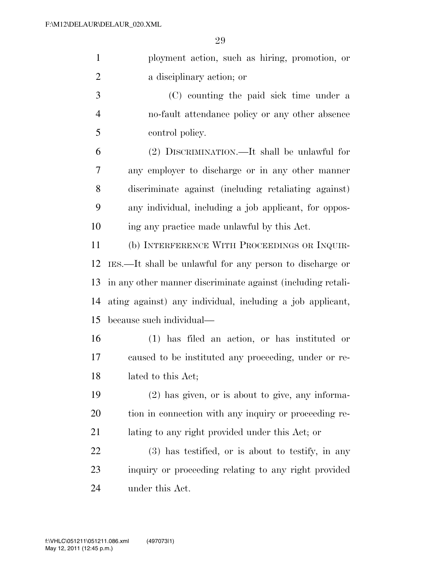|                | 29                                                             |
|----------------|----------------------------------------------------------------|
| $\mathbf{1}$   | ployment action, such as hiring, promotion, or                 |
| $\overline{2}$ | a disciplinary action; or                                      |
| 3              | (C) counting the paid sick time under a                        |
| $\overline{4}$ | no-fault attendance policy or any other absence                |
| 5              | control policy.                                                |
| 6              | (2) DISCRIMINATION.—It shall be unlawful for                   |
| 7              | any employer to discharge or in any other manner               |
| 8              | discriminate against (including retaliating against)           |
| 9              | any individual, including a job applicant, for oppos-          |
| 10             | ing any practice made unlawful by this Act.                    |
| 11             | (b) INTERFERENCE WITH PROCEEDINGS OR INQUIR-                   |
| 12             | IES.—It shall be unlawful for any person to discharge or       |
|                | 13 in any other manner discriminate against (including retali- |

 ating against) any individual, including a job applicant, because such individual—

- (1) has filed an action, or has instituted or caused to be instituted any proceeding, under or re-lated to this Act;
- (2) has given, or is about to give, any informa- tion in connection with any inquiry or proceeding re-lating to any right provided under this Act; or

 (3) has testified, or is about to testify, in any inquiry or proceeding relating to any right provided under this Act.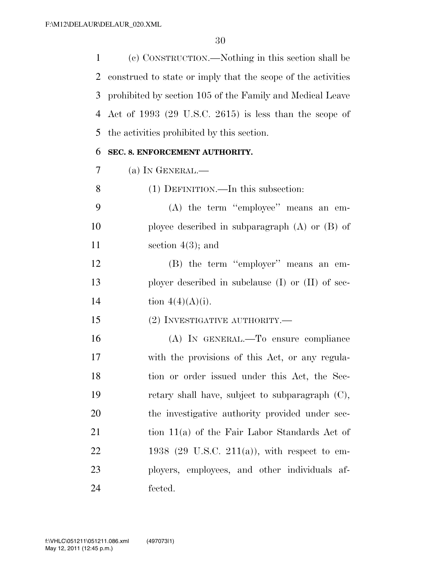(c) CONSTRUCTION.—Nothing in this section shall be construed to state or imply that the scope of the activities prohibited by section 105 of the Family and Medical Leave Act of 1993 (29 U.S.C. 2615) is less than the scope of the activities prohibited by this section.

#### **SEC. 8. ENFORCEMENT AUTHORITY.**

|  | (a) IN GENERAL.— |  |
|--|------------------|--|
|--|------------------|--|

- (1) DEFINITION.—In this subsection:
- (A) the term ''employee'' means an em- ployee described in subparagraph (A) or (B) of 11 section 4(3); and
- (B) the term ''employer'' means an em- ployer described in subclause (I) or (II) of sec-14 tion  $4(4)(A)(i)$ .
- (2) INVESTIGATIVE AUTHORITY.—
- (A) IN GENERAL.—To ensure compliance with the provisions of this Act, or any regula- tion or order issued under this Act, the Sec- retary shall have, subject to subparagraph (C), 20 the investigative authority provided under sec-21 tion 11(a) of the Fair Labor Standards Act of 1938 (29 U.S.C. 211(a)), with respect to em- ployers, employees, and other individuals af-fected.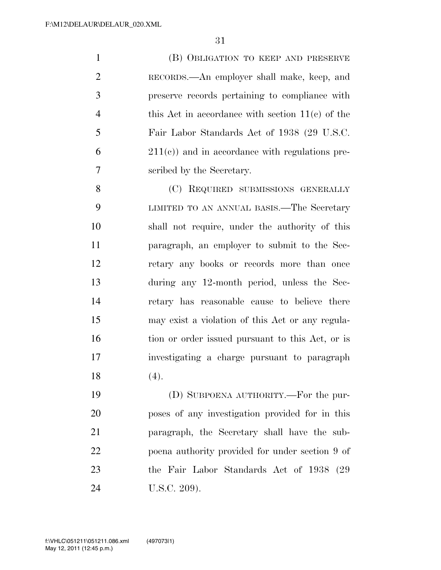(B) OBLIGATION TO KEEP AND PRESERVE RECORDS.—An employer shall make, keep, and preserve records pertaining to compliance with 4 this Act in accordance with section 11(c) of the Fair Labor Standards Act of 1938 (29 U.S.C.  $6 \qquad \qquad 211(e)$  and in accordance with regulations pre-scribed by the Secretary.

8 (C) REQUIRED SUBMISSIONS GENERALLY LIMITED TO AN ANNUAL BASIS.—The Secretary shall not require, under the authority of this paragraph, an employer to submit to the Sec- retary any books or records more than once during any 12-month period, unless the Sec- retary has reasonable cause to believe there may exist a violation of this Act or any regula-16 tion or order issued pursuant to this Act, or is investigating a charge pursuant to paragraph (4).

 (D) SUBPOENA AUTHORITY.—For the pur- poses of any investigation provided for in this paragraph, the Secretary shall have the sub- poena authority provided for under section 9 of the Fair Labor Standards Act of 1938 (29 U.S.C. 209).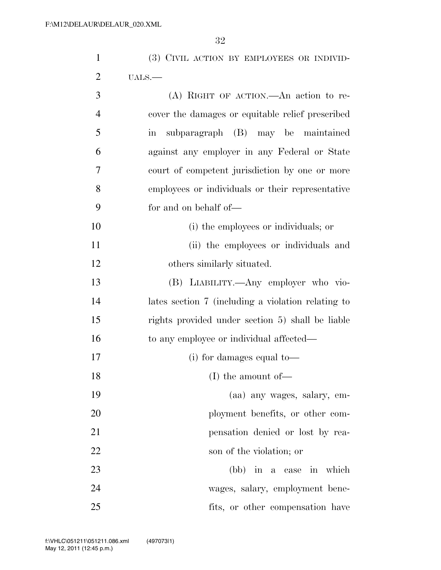| $\mathbf{1}$   | (3) CIVIL ACTION BY EMPLOYEES OR INDIVID-                 |
|----------------|-----------------------------------------------------------|
| $\overline{2}$ | UALS.                                                     |
| 3              | (A) RIGHT OF ACTION.—An action to re-                     |
| $\overline{4}$ | cover the damages or equitable relief prescribed          |
| 5              | subparagraph (B) may be maintained<br>$\operatorname{in}$ |
| 6              | against any employer in any Federal or State              |
| $\overline{7}$ | court of competent jurisdiction by one or more            |
| 8              | employees or individuals or their representative          |
| 9              | for and on behalf of—                                     |
| 10             | (i) the employees or individuals; or                      |
| 11             | (ii) the employees or individuals and                     |
| 12             | others similarly situated.                                |
| 13             | (B) LIABILITY.—Any employer who vio-                      |
| 14             | lates section 7 (including a violation relating to        |
| 15             | rights provided under section 5) shall be liable          |
| 16             | to any employee or individual affected—                   |
| 17             | $(i)$ for damages equal to —                              |
| 18             | $(I)$ the amount of-                                      |
| 19             | (aa) any wages, salary, em-                               |
| 20             | ployment benefits, or other com-                          |
| 21             | pensation denied or lost by rea-                          |
| 22             | son of the violation; or                                  |
| 23             | (bb) in a case in which                                   |
| 24             | wages, salary, employment bene-                           |
| 25             | fits, or other compensation have                          |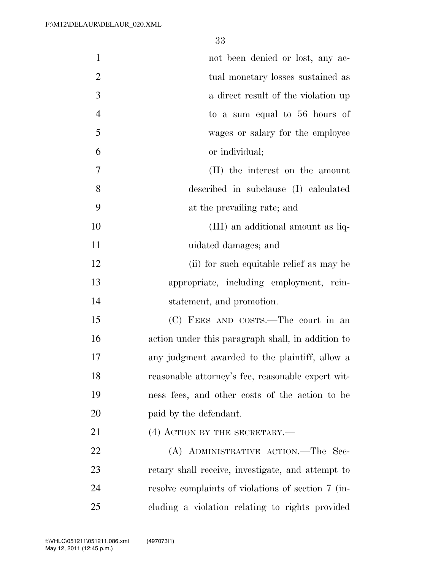| $\mathbf{1}$   | not been denied or lost, any ac-                   |
|----------------|----------------------------------------------------|
| $\overline{2}$ | tual monetary losses sustained as                  |
| 3              | a direct result of the violation up                |
| $\overline{4}$ | to a sum equal to 56 hours of                      |
| 5              | wages or salary for the employee                   |
| 6              | or individual;                                     |
| $\overline{7}$ | (II) the interest on the amount                    |
| 8              | described in subclause (I) calculated              |
| 9              | at the prevailing rate; and                        |
| 10             | (III) an additional amount as liq-                 |
| 11             | uidated damages; and                               |
| 12             | (ii) for such equitable relief as may be           |
| 13             | appropriate, including employment, rein-           |
| 14             | statement, and promotion.                          |
| 15             | (C) FEES AND COSTS.—The court in an                |
| 16             | action under this paragraph shall, in addition to  |
| 17             | any judgment awarded to the plaintiff, allow a     |
| 18             | reasonable attorney's fee, reasonable expert wit-  |
| 19             | ness fees, and other costs of the action to be     |
| 20             | paid by the defendant.                             |
| 21             | $(4)$ ACTION BY THE SECRETARY.—                    |
| 22             | (A) ADMINISTRATIVE ACTION.—The Sec-                |
| 23             | retary shall receive, investigate, and attempt to  |
| 24             | resolve complaints of violations of section 7 (in- |
| 25             | cluding a violation relating to rights provided    |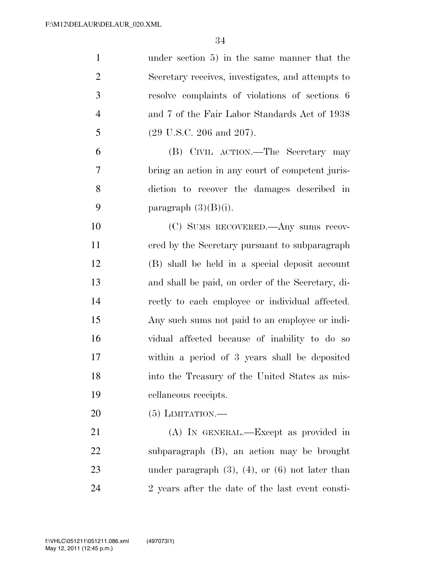| $\mathbf{1}$   | under section 5) in the same manner that the            |
|----------------|---------------------------------------------------------|
| $\overline{2}$ | Secretary receives, investigates, and attempts to       |
| 3              | resolve complaints of violations of sections 6          |
| $\overline{4}$ | and 7 of the Fair Labor Standards Act of 1938           |
| 5              | $(29 \text{ U.S.C. } 206 \text{ and } 207).$            |
| 6              | (B) CIVIL ACTION.—The Secretary may                     |
| 7              | bring an action in any court of competent juris-        |
| 8              | diction to recover the damages described in             |
| 9              | paragraph $(3)(B)(i)$ .                                 |
| 10             | (C) SUMS RECOVERED.—Any sums recov-                     |
| 11             | ered by the Secretary pursuant to subparagraph          |
| 12             | (B) shall be held in a special deposit account          |
| 13             | and shall be paid, on order of the Secretary, di-       |
| 14             | rectly to each employee or individual affected.         |
| 15             | Any such sums not paid to an employee or indi-          |
| 16             | vidual affected because of inability to do so           |
| 17             | within a period of 3 years shall be deposited           |
| 18             | into the Treasury of the United States as mis-          |
| 19             | cellaneous receipts.                                    |
| 20             | $(5)$ LIMITATION.—                                      |
| 21             | (A) IN GENERAL.—Except as provided in                   |
| 22             | subparagraph (B), an action may be brought              |
| 23             | under paragraph $(3)$ , $(4)$ , or $(6)$ not later than |
| 24             | 2 years after the date of the last event consti-        |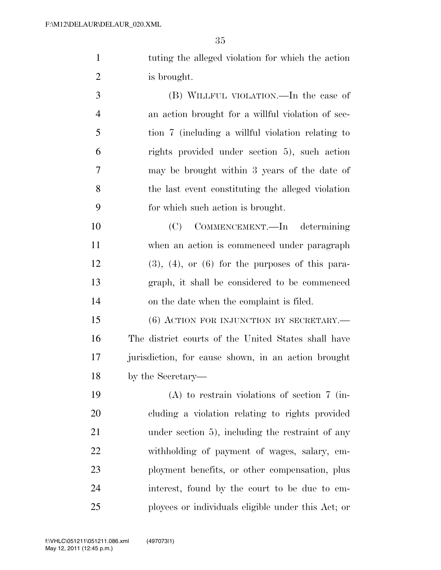tuting the alleged violation for which the action is brought.

 (B) WILLFUL VIOLATION.—In the case of an action brought for a willful violation of sec- tion 7 (including a willful violation relating to rights provided under section 5), such action may be brought within 3 years of the date of the last event constituting the alleged violation for which such action is brought.

 (C) COMMENCEMENT.—In determining when an action is commenced under paragraph (3), (4), or (6) for the purposes of this para- graph, it shall be considered to be commenced on the date when the complaint is filed.

15 (6) ACTION FOR INJUNCTION BY SECRETARY.— The district courts of the United States shall have jurisdiction, for cause shown, in an action brought by the Secretary—

 (A) to restrain violations of section 7 (in- cluding a violation relating to rights provided under section 5), including the restraint of any withholding of payment of wages, salary, em- ployment benefits, or other compensation, plus interest, found by the court to be due to em-ployees or individuals eligible under this Act; or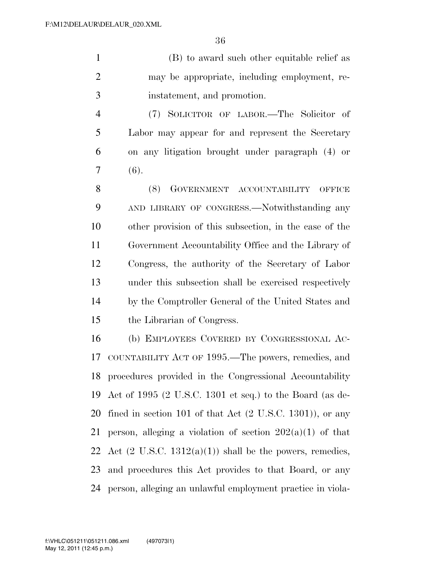(B) to award such other equitable relief as may be appropriate, including employment, re-instatement, and promotion.

 (7) SOLICITOR OF LABOR.—The Solicitor of Labor may appear for and represent the Secretary on any litigation brought under paragraph (4) or  $7 (6)$ .

8 (8) GOVERNMENT ACCOUNTABILITY OFFICE AND LIBRARY OF CONGRESS.—Notwithstanding any other provision of this subsection, in the case of the Government Accountability Office and the Library of Congress, the authority of the Secretary of Labor under this subsection shall be exercised respectively by the Comptroller General of the United States and the Librarian of Congress.

 (b) EMPLOYEES COVERED BY CONGRESSIONAL AC- COUNTABILITY ACT OF 1995.—The powers, remedies, and procedures provided in the Congressional Accountability Act of 1995 (2 U.S.C. 1301 et seq.) to the Board (as de- fined in section 101 of that Act (2 U.S.C. 1301)), or any 21 person, alleging a violation of section  $202(a)(1)$  of that 22 Act  $(2 \text{ U.S.C. } 1312(a)(1))$  shall be the powers, remedies, and procedures this Act provides to that Board, or any person, alleging an unlawful employment practice in viola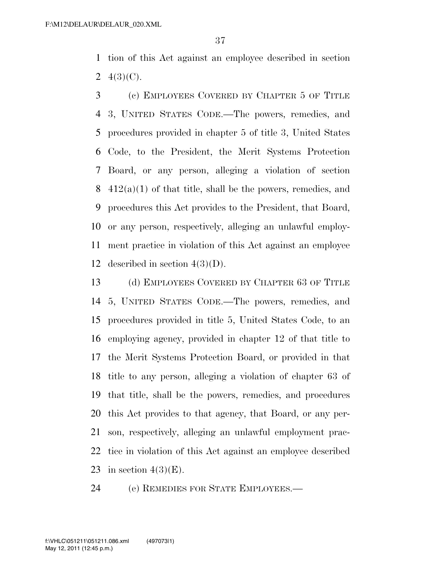tion of this Act against an employee described in section 2  $4(3)(C)$ .

- (c) EMPLOYEES COVERED BY CHAPTER 5 OF TITLE 3, UNITED STATES CODE.—The powers, remedies, and procedures provided in chapter 5 of title 3, United States Code, to the President, the Merit Systems Protection Board, or any person, alleging a violation of section 8  $412(a)(1)$  of that title, shall be the powers, remedies, and procedures this Act provides to the President, that Board, or any person, respectively, alleging an unlawful employ- ment practice in violation of this Act against an employee 12 described in section  $4(3)(D)$ .
- (d) EMPLOYEES COVERED BY CHAPTER 63 OF TITLE 5, UNITED STATES CODE.—The powers, remedies, and procedures provided in title 5, United States Code, to an employing agency, provided in chapter 12 of that title to the Merit Systems Protection Board, or provided in that title to any person, alleging a violation of chapter 63 of that title, shall be the powers, remedies, and procedures this Act provides to that agency, that Board, or any per- son, respectively, alleging an unlawful employment prac- tice in violation of this Act against an employee described 23 in section  $4(3)(E)$ .

(e) REMEDIES FOR STATE EMPLOYEES.—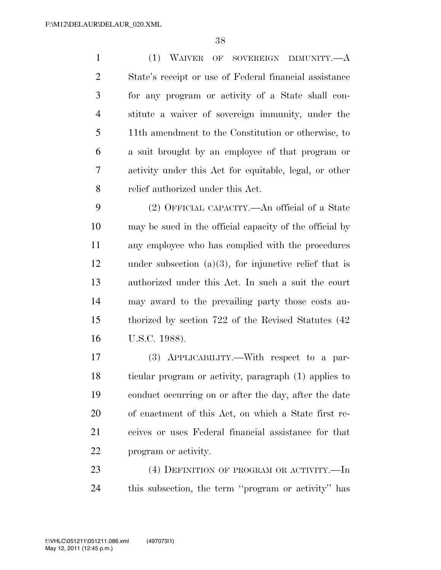(1) WAIVER OF SOVEREIGN IMMUNITY.—A State's receipt or use of Federal financial assistance for any program or activity of a State shall con- stitute a waiver of sovereign immunity, under the 11th amendment to the Constitution or otherwise, to a suit brought by an employee of that program or activity under this Act for equitable, legal, or other relief authorized under this Act.

 (2) OFFICIAL CAPACITY.—An official of a State may be sued in the official capacity of the official by any employee who has complied with the procedures under subsection (a)(3), for injunctive relief that is authorized under this Act. In such a suit the court may award to the prevailing party those costs au- thorized by section 722 of the Revised Statutes (42 U.S.C. 1988).

 (3) APPLICABILITY.—With respect to a par- ticular program or activity, paragraph (1) applies to conduct occurring on or after the day, after the date of enactment of this Act, on which a State first re- ceives or uses Federal financial assistance for that program or activity.

23 (4) DEFINITION OF PROGRAM OR ACTIVITY.—In this subsection, the term ''program or activity'' has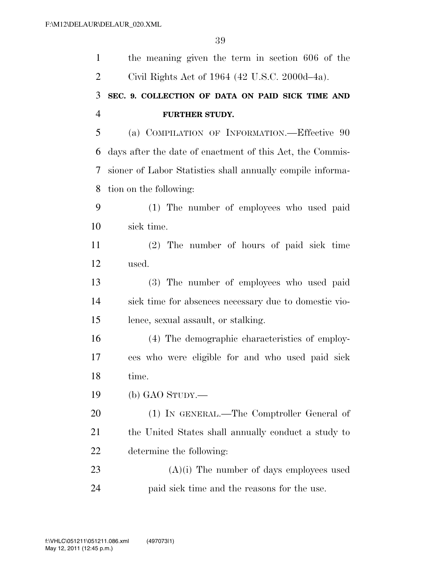| $\mathbf{1}$   | the meaning given the term in section 606 of the           |
|----------------|------------------------------------------------------------|
| $\overline{2}$ | Civil Rights Act of 1964 (42 U.S.C. 2000d–4a).             |
| 3              | SEC. 9. COLLECTION OF DATA ON PAID SICK TIME AND           |
| $\overline{4}$ | <b>FURTHER STUDY.</b>                                      |
| 5              | (a) COMPILATION OF INFORMATION.—Effective 90               |
| 6              | days after the date of enactment of this Act, the Commis-  |
| 7              | sioner of Labor Statistics shall annually compile informa- |
| 8              | tion on the following:                                     |
| 9              | (1) The number of employees who used paid                  |
| 10             | sick time.                                                 |
| 11             | (2) The number of hours of paid sick time                  |
| 12             | used.                                                      |
| 13             | (3) The number of employees who used paid                  |
| 14             | sick time for absences necessary due to domestic vio-      |
| 15             | lence, sexual assault, or stalking.                        |
| 16             | (4) The demographic characteristics of employ-             |
| 17             | ees who were eligible for and who used paid sick           |
| 18             | time.                                                      |
| 19             | (b) GAO STUDY.—                                            |
| 20             | (1) IN GENERAL.—The Comptroller General of                 |
| 21             | the United States shall annually conduct a study to        |
| 22             | determine the following:                                   |
| 23             | $(A)(i)$ The number of days employees used                 |
| 24             | paid sick time and the reasons for the use.                |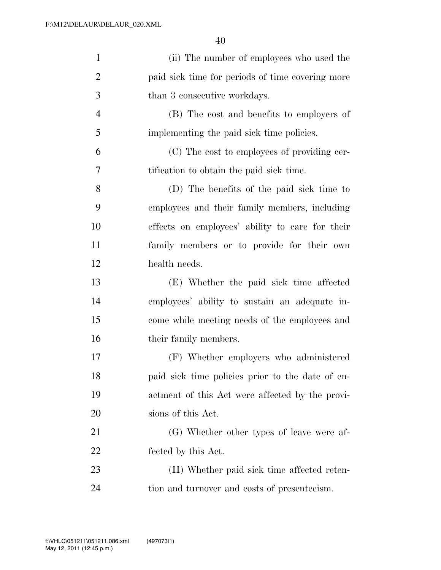| $\mathbf{1}$   | (ii) The number of employees who used the        |
|----------------|--------------------------------------------------|
| $\overline{2}$ | paid sick time for periods of time covering more |
| $\mathfrak{Z}$ | than 3 consecutive workdays.                     |
| $\overline{4}$ | (B) The cost and benefits to employers of        |
| 5              | implementing the paid sick time policies.        |
| 6              | (C) The cost to employees of providing cer-      |
| 7              | tification to obtain the paid sick time.         |
| 8              | (D) The benefits of the paid sick time to        |
| 9              | employees and their family members, including    |
| 10             | effects on employees' ability to care for their  |
| 11             | family members or to provide for their own       |
| 12             | health needs.                                    |
| 13             | (E) Whether the paid sick time affected          |
| 14             | employees' ability to sustain an adequate in-    |
| 15             | come while meeting needs of the employees and    |
| 16             | their family members.                            |
| $17\,$         | (F) Whether employers who administered           |
| 18             | paid sick time policies prior to the date of en- |
| 19             | actment of this Act were affected by the provi-  |
| 20             | sions of this Act.                               |
| 21             | (G) Whether other types of leave were af-        |
| 22             | fected by this Act.                              |
| 23             | (H) Whether paid sick time affected reten-       |
| 24             | tion and turnover and costs of presenteeism.     |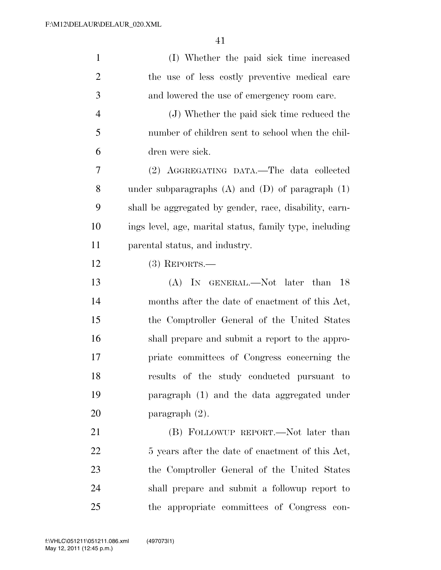| $\mathbf{1}$   | (I) Whether the paid sick time increased                |
|----------------|---------------------------------------------------------|
| $\overline{2}$ | the use of less costly preventive medical care          |
| 3              | and lowered the use of emergency room care.             |
| $\overline{4}$ | (J) Whether the paid sick time reduced the              |
| 5              | number of children sent to school when the chil-        |
| 6              | dren were sick.                                         |
| 7              | (2) AGGREGATING DATA.—The data collected                |
| 8              | under subparagraphs $(A)$ and $(D)$ of paragraph $(1)$  |
| 9              | shall be aggregated by gender, race, disability, earn-  |
| 10             | ings level, age, marital status, family type, including |
| 11             | parental status, and industry.                          |
| 12             | $(3)$ REPORTS.—                                         |
| 13             | (A) IN GENERAL.—Not later than<br>- 18                  |
| 14             | months after the date of enactment of this Act,         |
| 15             | the Comptroller General of the United States            |
| 16             | shall prepare and submit a report to the appro-         |
| 17             | priate committees of Congress concerning the            |
| 18             | results of the study conducted pursuant to              |
| 19             | paragraph (1) and the data aggregated under             |
| 20             | paragraph $(2)$ .                                       |
| 21             | (B) FOLLOWUP REPORT.—Not later than                     |
| 22             | 5 years after the date of enactment of this Act,        |
| 23             | the Comptroller General of the United States            |
| 24             | shall prepare and submit a followup report to           |
| 25             | the appropriate committees of Congress con-             |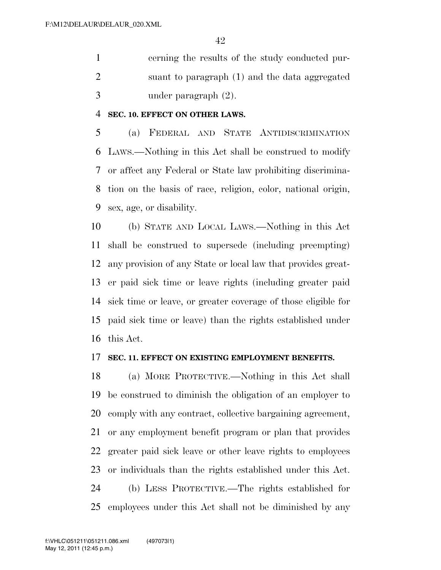cerning the results of the study conducted pur- suant to paragraph (1) and the data aggregated under paragraph (2).

#### **SEC. 10. EFFECT ON OTHER LAWS.**

 (a) FEDERAL AND STATE ANTIDISCRIMINATION LAWS.—Nothing in this Act shall be construed to modify or affect any Federal or State law prohibiting discrimina- tion on the basis of race, religion, color, national origin, sex, age, or disability.

 (b) STATE AND LOCAL LAWS.—Nothing in this Act shall be construed to supersede (including preempting) any provision of any State or local law that provides great- er paid sick time or leave rights (including greater paid sick time or leave, or greater coverage of those eligible for paid sick time or leave) than the rights established under this Act.

#### **SEC. 11. EFFECT ON EXISTING EMPLOYMENT BENEFITS.**

 (a) MORE PROTECTIVE.—Nothing in this Act shall be construed to diminish the obligation of an employer to comply with any contract, collective bargaining agreement, or any employment benefit program or plan that provides greater paid sick leave or other leave rights to employees or individuals than the rights established under this Act. (b) LESS PROTECTIVE.—The rights established for employees under this Act shall not be diminished by any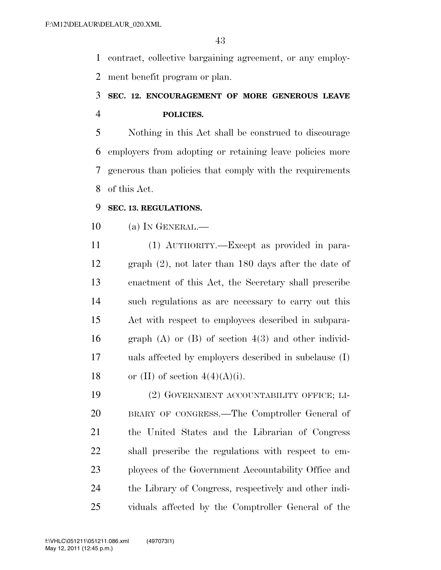contract, collective bargaining agreement, or any employ-ment benefit program or plan.

# **SEC. 12. ENCOURAGEMENT OF MORE GENEROUS LEAVE POLICIES.**

 Nothing in this Act shall be construed to discourage employers from adopting or retaining leave policies more generous than policies that comply with the requirements of this Act.

#### **SEC. 13. REGULATIONS.**

### (a) IN GENERAL.—

 (1) AUTHORITY.—Except as provided in para- graph (2), not later than 180 days after the date of enactment of this Act, the Secretary shall prescribe such regulations as are necessary to carry out this Act with respect to employees described in subpara- graph (A) or (B) of section 4(3) and other individ- uals affected by employers described in subclause (I) 18 or (II) of section  $4(4)(A)(i)$ .

 (2) GOVERNMENT ACCOUNTABILITY OFFICE; LI- BRARY OF CONGRESS.—The Comptroller General of the United States and the Librarian of Congress shall prescribe the regulations with respect to em- ployees of the Government Accountability Office and the Library of Congress, respectively and other indi-viduals affected by the Comptroller General of the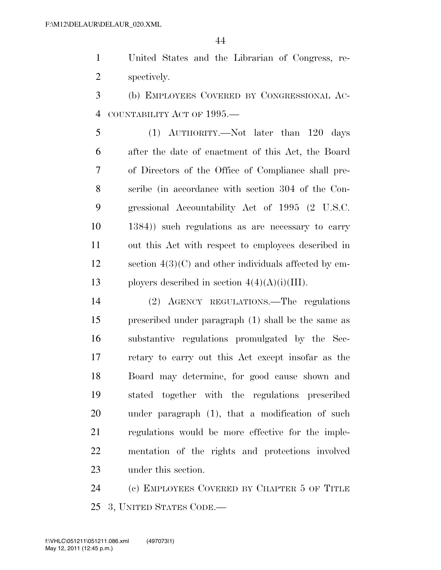United States and the Librarian of Congress, re-spectively.

 (b) EMPLOYEES COVERED BY CONGRESSIONAL AC-COUNTABILITY ACT OF 1995.—

 (1) AUTHORITY.—Not later than 120 days after the date of enactment of this Act, the Board of Directors of the Office of Compliance shall pre- scribe (in accordance with section 304 of the Con- gressional Accountability Act of 1995 (2 U.S.C. 1384)) such regulations as are necessary to carry out this Act with respect to employees described in section 4(3)(C) and other individuals affected by em-13 ployers described in section  $4(4)(A)(i)(III)$ .

 (2) AGENCY REGULATIONS.—The regulations prescribed under paragraph (1) shall be the same as substantive regulations promulgated by the Sec- retary to carry out this Act except insofar as the Board may determine, for good cause shown and stated together with the regulations prescribed under paragraph (1), that a modification of such regulations would be more effective for the imple- mentation of the rights and protections involved under this section.

 (c) EMPLOYEES COVERED BY CHAPTER 5 OF TITLE 3, UNITED STATES CODE.—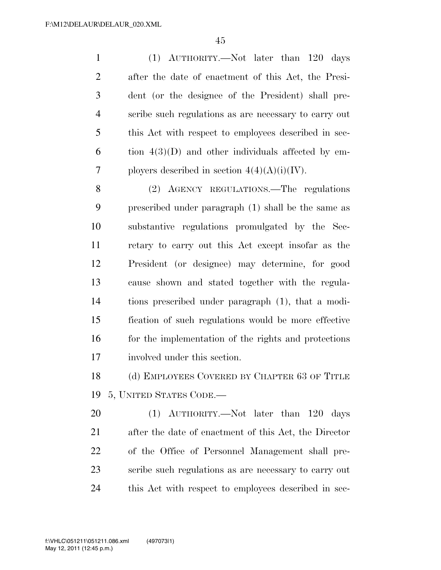(1) AUTHORITY.—Not later than 120 days after the date of enactment of this Act, the Presi- dent (or the designee of the President) shall pre- scribe such regulations as are necessary to carry out this Act with respect to employees described in sec-6 tion  $4(3)(D)$  and other individuals affected by em-7 ployers described in section  $4(4)(A)(i)(IV)$ .

 (2) AGENCY REGULATIONS.—The regulations prescribed under paragraph (1) shall be the same as substantive regulations promulgated by the Sec- retary to carry out this Act except insofar as the President (or designee) may determine, for good cause shown and stated together with the regula- tions prescribed under paragraph (1), that a modi- fication of such regulations would be more effective 16 for the implementation of the rights and protections involved under this section.

18 (d) EMPLOYEES COVERED BY CHAPTER 63 OF TITLE 5, UNITED STATES CODE.—

 (1) AUTHORITY.—Not later than 120 days after the date of enactment of this Act, the Director of the Office of Personnel Management shall pre- scribe such regulations as are necessary to carry out this Act with respect to employees described in sec-